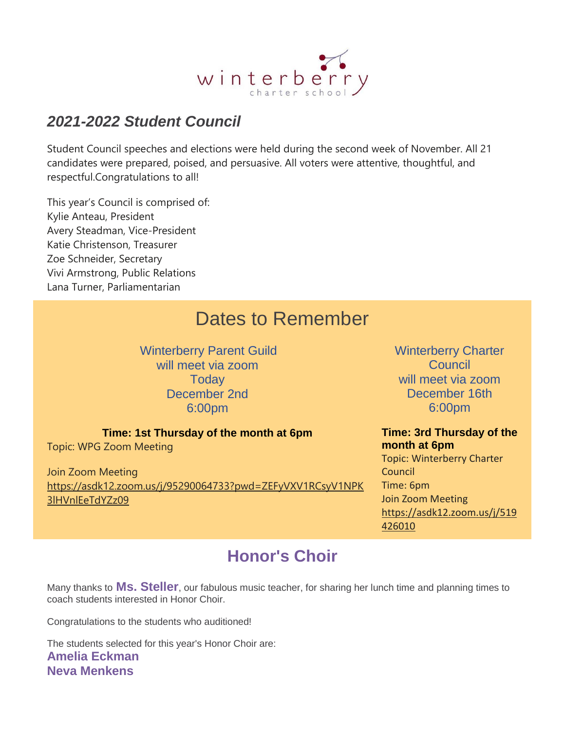

### *2021-2022 Student Council*

Student Council speeches and elections were held during the second week of November. All 21 candidates were prepared, poised, and persuasive. All voters were attentive, thoughtful, and respectful.Congratulations to all!

This year's Council is comprised of: Kylie Anteau, President Avery Steadman, Vice-President Katie Christenson, Treasurer Zoe Schneider, Secretary Vivi Armstrong, Public Relations Lana Turner, Parliamentarian

# Dates to Remember

Winterberry Parent Guild will meet via zoom **Today** December 2nd 6:00pm

**Time: 1st Thursday of the month at 6pm** Topic: WPG Zoom Meeting

Join Zoom Meeting [https://asdk12.zoom.us/j/95290064733?pwd=ZEFyVXV1RCsyV1NPK](https://nam12.safelinks.protection.outlook.com/?url=https%3A%2F%2Fr20.rs6.net%2Ftn.jsp%3Ff%3D001M4C7bnFFmOyfrKOdVcjaCHTu7NO1oOoxdsvUVf-Ly6dpK6A4xe5KRnmrZVgPSJO7vM6nmfqr4UzNDXqRdP81HxrTlUoY6QKBguHs9fvsri7rhn8spokGbIJ-VQSczH0YS9Rn-GLpwARIzp3EPelIQpTwfZPf0UZDQq7h8K0YaE_r4kAPjMg9r-LIRaUUez-JiotT_lfbGjOpX7KwxiIu7piAB6TAV_RKz151734h32JlO-AXjX7X5fw91t43gZS1fLJjStz9PFlR5n9lgthXEEQeB3x0MMZB_2Dwq0rhUJNPHeZe0GsFD0y43iAmncuhm1bVVcrfAAkAy414mvSwoiVfd8LaSdtbZKOHJ3lRJQ4eVh2_r2B8sv8Ak-Uik_Demt6WAUjy4t5mz3WpFrNiGX2S2N4nm5XRmQ7PykTiFzMJOt3Ne1NzvAcRM60fYAdNltwJq2heqDgvFlTWWqOxRhPcha9RfDeiAea5-uVKhMkmQBIbyliH-6V23ai9k-HD8fma4B7cKLxNS3XB-lAUX3demHllvUv-9Hs_iVvp9-92FEsQwI46fDjQysIPbMLX2Jy6GChdj1gUFizJLW44bPk7E6Dl6BYm4zC2n0v0cRC2qkM0Sbmk_663cF84I0KU3CIFpyBIveRQsSz6aR6MCSVHfMa4qZmaSXmfsKTR0yH_WlJL86778YRJkajnFtyIXiH8J2bcE24qqrdQXyPaRMMpnXmLOOx6nvQXV5Oi9SZHSDEaR3_BMKcuwRlcD2vqGTq_9BjffRohg9g_ORY5cQ%3D%3D%26c%3D-X8XX7Q6-pRi60ulBzyr9Q-ibYJM_DNOx8IZLHW4aTdEWxBrY0dWtw%3D%3D%26ch%3DA_etGdeUTbxg0RxjavbiZqlMd6KAqm6CrbmLcSYQpcA9ERUiZg4hsg%3D%3D&data=04%7C01%7Cgarrels_shana%40asdk12.org%7C42eb1c8d716347e806bb08d9b5e097e8%7C036ce601e95a4e46a3bd6b742ed4bb35%7C0%7C0%7C637740798497494882%7CUnknown%7CTWFpbGZsb3d8eyJWIjoiMC4wLjAwMDAiLCJQIjoiV2luMzIiLCJBTiI6Ik1haWwiLCJXVCI6Mn0%3D%7C3000&sdata=%2BA4ux9lUdnBPFFSHpqp%2BwyMfOa8LntC6xJmA5P0kN9Q%3D&reserved=0) [3lHVnlEeTdYZz09](https://nam12.safelinks.protection.outlook.com/?url=https%3A%2F%2Fr20.rs6.net%2Ftn.jsp%3Ff%3D001M4C7bnFFmOyfrKOdVcjaCHTu7NO1oOoxdsvUVf-Ly6dpK6A4xe5KRnmrZVgPSJO7vM6nmfqr4UzNDXqRdP81HxrTlUoY6QKBguHs9fvsri7rhn8spokGbIJ-VQSczH0YS9Rn-GLpwARIzp3EPelIQpTwfZPf0UZDQq7h8K0YaE_r4kAPjMg9r-LIRaUUez-JiotT_lfbGjOpX7KwxiIu7piAB6TAV_RKz151734h32JlO-AXjX7X5fw91t43gZS1fLJjStz9PFlR5n9lgthXEEQeB3x0MMZB_2Dwq0rhUJNPHeZe0GsFD0y43iAmncuhm1bVVcrfAAkAy414mvSwoiVfd8LaSdtbZKOHJ3lRJQ4eVh2_r2B8sv8Ak-Uik_Demt6WAUjy4t5mz3WpFrNiGX2S2N4nm5XRmQ7PykTiFzMJOt3Ne1NzvAcRM60fYAdNltwJq2heqDgvFlTWWqOxRhPcha9RfDeiAea5-uVKhMkmQBIbyliH-6V23ai9k-HD8fma4B7cKLxNS3XB-lAUX3demHllvUv-9Hs_iVvp9-92FEsQwI46fDjQysIPbMLX2Jy6GChdj1gUFizJLW44bPk7E6Dl6BYm4zC2n0v0cRC2qkM0Sbmk_663cF84I0KU3CIFpyBIveRQsSz6aR6MCSVHfMa4qZmaSXmfsKTR0yH_WlJL86778YRJkajnFtyIXiH8J2bcE24qqrdQXyPaRMMpnXmLOOx6nvQXV5Oi9SZHSDEaR3_BMKcuwRlcD2vqGTq_9BjffRohg9g_ORY5cQ%3D%3D%26c%3D-X8XX7Q6-pRi60ulBzyr9Q-ibYJM_DNOx8IZLHW4aTdEWxBrY0dWtw%3D%3D%26ch%3DA_etGdeUTbxg0RxjavbiZqlMd6KAqm6CrbmLcSYQpcA9ERUiZg4hsg%3D%3D&data=04%7C01%7Cgarrels_shana%40asdk12.org%7C42eb1c8d716347e806bb08d9b5e097e8%7C036ce601e95a4e46a3bd6b742ed4bb35%7C0%7C0%7C637740798497494882%7CUnknown%7CTWFpbGZsb3d8eyJWIjoiMC4wLjAwMDAiLCJQIjoiV2luMzIiLCJBTiI6Ik1haWwiLCJXVCI6Mn0%3D%7C3000&sdata=%2BA4ux9lUdnBPFFSHpqp%2BwyMfOa8LntC6xJmA5P0kN9Q%3D&reserved=0)

Winterberry Charter **Council** will meet via zoom December 16th 6:00pm

**Time: 3rd Thursday of the month at 6pm** Topic: Winterberry Charter Council Time: 6pm Join Zoom Meeting [https://asdk12.zoom.us/j/519](https://nam12.safelinks.protection.outlook.com/?url=https%3A%2F%2Fr20.rs6.net%2Ftn.jsp%3Ff%3D001M4C7bnFFmOyfrKOdVcjaCHTu7NO1oOoxdsvUVf-Ly6dpK6A4xe5KRnmrZVgPSJO7-24ugpBLC0sfttYpNe0Bm-U6vTJa0HcjqU_Ji7A8GsFxnto-iuIW3p1UizYKAhL8gfK6JZIaCTUg1i86GGP6ohKyWo5_DMqX_KxmtMNWkJ1FzGwQGZgtPIOQcY5HO0iQB_nM2TcdzfBi-teOKufNmGH9t-9yCbOrZc_pdzn-L059xVb-qQxUPUdIpQbuSCgY2rF7sIotHlrs-TjbgbHgnzfy2Ne-X20gK4f4k-_LPl3fMxS2yjqwM8w42PuXRsVF0buuNOMwKr1EljpuMhi8MrvI47t376cuRJdN1_dUZf74dgqj_AHo8st8W1zpxfLl41SiLtx9qrc2Oq4yaCuumZa6FjjkgQLZfLESzUFuEUD9yv_G9AiLBfU9iPj3aLInmuml2yOU9uXDePHuCJtB15poJXl0t3_dBCJFX5LbtulnXEo3EYesVHfLYIwoOLgnzaEPczJjbVM9DtsPDbPpfiVz3txliOfNGK3kT9P5d52tdIfwZD2OLrZ4RkL-0u1dVKGZ1BJ2K1QE_IfZkzgShT5hAf-40kpc7mEuCmeiQz1ugH0cXsZVHQ_b8w6TgA14ae0yMCL5bC-K4rg7GO-neOtPkw9Tl8sAVpgwv1jiyhKkU2th3f1xsXhD0z4M2uZ2diL5HjiT4qU_0M7LnW1tvw%3D%3D%26c%3D-X8XX7Q6-pRi60ulBzyr9Q-ibYJM_DNOx8IZLHW4aTdEWxBrY0dWtw%3D%3D%26ch%3DA_etGdeUTbxg0RxjavbiZqlMd6KAqm6CrbmLcSYQpcA9ERUiZg4hsg%3D%3D&data=04%7C01%7Cgarrels_shana%40asdk12.org%7C42eb1c8d716347e806bb08d9b5e097e8%7C036ce601e95a4e46a3bd6b742ed4bb35%7C0%7C0%7C637740798497504829%7CUnknown%7CTWFpbGZsb3d8eyJWIjoiMC4wLjAwMDAiLCJQIjoiV2luMzIiLCJBTiI6Ik1haWwiLCJXVCI6Mn0%3D%7C3000&sdata=c5n6lGoUJ5qzLuDjQJrpmG2bZ71jZmD%2Bp2x%2FLvgnm2U%3D&reserved=0) [426010](https://nam12.safelinks.protection.outlook.com/?url=https%3A%2F%2Fr20.rs6.net%2Ftn.jsp%3Ff%3D001M4C7bnFFmOyfrKOdVcjaCHTu7NO1oOoxdsvUVf-Ly6dpK6A4xe5KRnmrZVgPSJO7-24ugpBLC0sfttYpNe0Bm-U6vTJa0HcjqU_Ji7A8GsFxnto-iuIW3p1UizYKAhL8gfK6JZIaCTUg1i86GGP6ohKyWo5_DMqX_KxmtMNWkJ1FzGwQGZgtPIOQcY5HO0iQB_nM2TcdzfBi-teOKufNmGH9t-9yCbOrZc_pdzn-L059xVb-qQxUPUdIpQbuSCgY2rF7sIotHlrs-TjbgbHgnzfy2Ne-X20gK4f4k-_LPl3fMxS2yjqwM8w42PuXRsVF0buuNOMwKr1EljpuMhi8MrvI47t376cuRJdN1_dUZf74dgqj_AHo8st8W1zpxfLl41SiLtx9qrc2Oq4yaCuumZa6FjjkgQLZfLESzUFuEUD9yv_G9AiLBfU9iPj3aLInmuml2yOU9uXDePHuCJtB15poJXl0t3_dBCJFX5LbtulnXEo3EYesVHfLYIwoOLgnzaEPczJjbVM9DtsPDbPpfiVz3txliOfNGK3kT9P5d52tdIfwZD2OLrZ4RkL-0u1dVKGZ1BJ2K1QE_IfZkzgShT5hAf-40kpc7mEuCmeiQz1ugH0cXsZVHQ_b8w6TgA14ae0yMCL5bC-K4rg7GO-neOtPkw9Tl8sAVpgwv1jiyhKkU2th3f1xsXhD0z4M2uZ2diL5HjiT4qU_0M7LnW1tvw%3D%3D%26c%3D-X8XX7Q6-pRi60ulBzyr9Q-ibYJM_DNOx8IZLHW4aTdEWxBrY0dWtw%3D%3D%26ch%3DA_etGdeUTbxg0RxjavbiZqlMd6KAqm6CrbmLcSYQpcA9ERUiZg4hsg%3D%3D&data=04%7C01%7Cgarrels_shana%40asdk12.org%7C42eb1c8d716347e806bb08d9b5e097e8%7C036ce601e95a4e46a3bd6b742ed4bb35%7C0%7C0%7C637740798497504829%7CUnknown%7CTWFpbGZsb3d8eyJWIjoiMC4wLjAwMDAiLCJQIjoiV2luMzIiLCJBTiI6Ik1haWwiLCJXVCI6Mn0%3D%7C3000&sdata=c5n6lGoUJ5qzLuDjQJrpmG2bZ71jZmD%2Bp2x%2FLvgnm2U%3D&reserved=0)

## **Honor's Choir**

Many thanks to **Ms. Steller**, our fabulous music teacher, for sharing her lunch time and planning times to coach students interested in Honor Choir.

Congratulations to the students who auditioned!

The students selected for this year's Honor Choir are: **Amelia Eckman Neva Menkens**